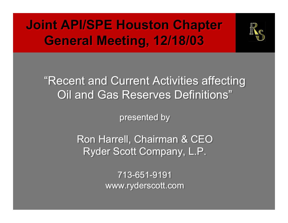# **Joint API/SPE Houston Chapter Joint API/SPE Houston Chapter General Meeting, 12/18/03 General Meeting, 12/18/03**



#### "Recent and Current Activities affecting "Recent and Current Activities affecting Oil and Gas Reserves Definitions" Oil and Gas Reserves Definitions"

presented by presented by

Ron Harrell, Chairman & CEO Ron Harrell, Chairman & CEO Ryder Scott Company, L.P. Ryder Scott Company, L.P.

> 713-651-9191 www.ryderscott.com www.ryderscott.com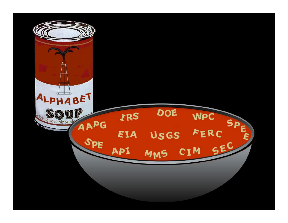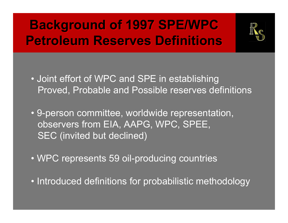# **Background of 1997 SPE/WPC Background of 1997 SPE/WPC Petroleum Reserves DefinitionsPetroleum Reserves Definitions**



- Joint effort of WPC and SPE in establishing Proved, Probable and Possible reserves definitions
- 9-person committee, worldwide representation, observers from EIA, AAPG, WPC, SPEE, SEC (invited but declined)
- WPC represents 59 oil-producing countries
- Introduced definitions for probabilistic methodology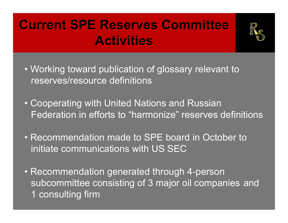# **Current SPE Reserves Committee Activities**



- Working toward publication of glossary relevant to reserves/resource definitions
- Cooperating with United Nations and Russian Federation in efforts to "harmonize" reserves definitions
- Recommendation made to SPE board in October to initiate communications with US SEC
- Recommendation generated through 4-person subcommittee consisting of 3 major oil companies and 1 consulting firm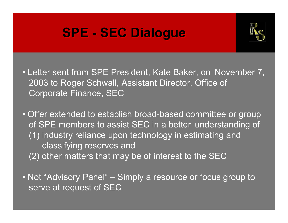# **SPE - SEC Dialogue SPE - SEC Dialogue**



- Letter sent from SPE President, Kate Baker, on November 7, 2003 to Roger Schwall, Assistant Director, Office of Corporate Finance, SEC
- Offer extended to establish broad-based committee or group of SPE members to assist SEC in a better understanding of (1) industry reliance upon technology in estimating and classifying reserves and (2) other matters that may be of interest to the SEC
- Not "Advisory Panel" Simply a resource or focus group to serve at request of SEC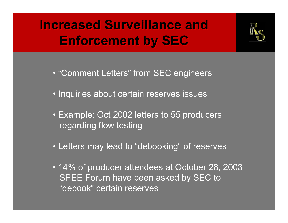**Increased Surveillance andIncreased Surveillance andEnforcement by SEC Enforcement by SEC**



- "Comment Letters" from SEC engineers
- Inquiries about certain reserves issues
- Example: Oct 2002 letters to 55 producers regarding flow testing
- Letters may lead to "debooking" of reserves
- 14% of producer attendees at October 28, 2003 SPEE Forum have been asked by SEC to "debook" certain reserves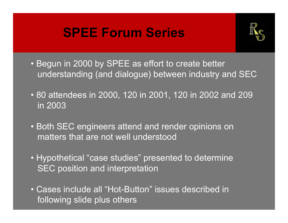#### **SPEE Forum Series SPEE Forum Series**



- Begun in 2000 by SPEE as effort to create better understanding (and dialogue) between industry and SEC
- 80 attendees in 2000, 120 in 2001, 120 in 2002 and 209 in 2003
- Both SEC engineers attend and render opinions on matters that are not well understood
- Hypothetical "case studies" presented to determine **SEC position and interpretation**
- Cases include all "Hot-Button" issues described in following slide plus others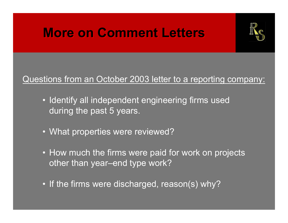### **More on Comment Letters More on Comment Letters**



#### Questions from an October 2003 letter to a reporting company:

- Identify all independent engineering firms used during the past 5 years.
- What properties were reviewed?
- How much the firms were paid for work on projects other than year–end type work?
- If the firms were discharged, reason(s) why?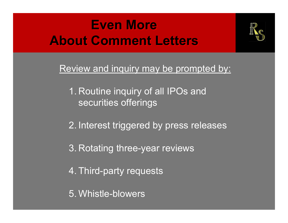### **Even More About Comment Letters**



Review and inquiry may be prompted by:

- 1. Routine inquiry of all IPOs and securities offerings
- 2. Interest triggered by press releases
- 3. Rotating three-year reviews
- 4. Third-party requests
- 5. Whistle-blowers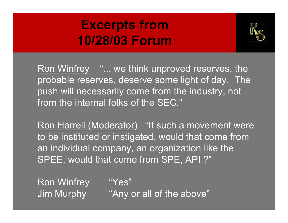### **Excerpts from Excerpts from 10/28/03 Forum10/28/03 Forum**



Ron Winfrey "... we think unproved reserves, the probable reserves, deserve some light of day. The push will necessarily come from the industry, not from the internal folks of the SEC."

Ron Harrell (Moderator) "If such a movement were to be instituted or instigated, would that come from an individual company, an organization like the SPEE, would that come from SPE, API ?"

Ron Winfrey "Yes"

Jim Murphy "Any or all of the above"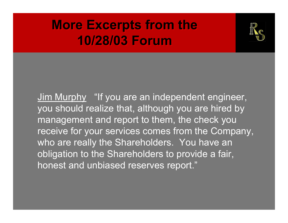#### **More Excerpts from the More Excerpts from the 10/28/03 Forum10/28/03 Forum**



Jim Murphy "If you are an independent engineer, you should realize that, although you are hired by management and report to them, the check you receive for your services comes from the Company, who are really the Shareholders. You have an obligation to the Shareholders to provide a fair, honest and unbiased reserves report."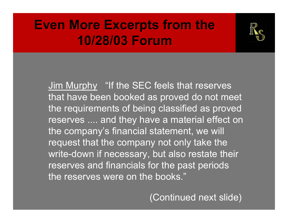#### **Even More Excerpts from the Even More Excerpts from the 10/28/03 Forum10/28/03 Forum**



Jim Murphy "If the SEC feels that reserves that have been booked as proved do not meet the requirements of being classified as proved reserves .... and they have a material effect on the company's financial statement, we will request that the company not only take the write-down if necessary, but also restate their reserves and financials for the past periods the reserves were on the books."

(Continued next slide)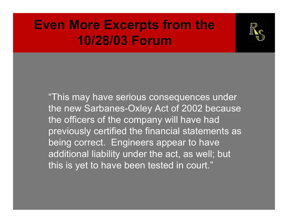#### **Even More Excerpts from the Even More Excerpts from the 10/28/03 Forum10/28/03 Forum**



"This may have serious consequences under the new Sarbanes-Oxley Act of 2002 because the officers of the company will have had previously certified the financial statements as being correct. Engineers appear to have additional liability under the act, as well; but this is yet to have been tested in court."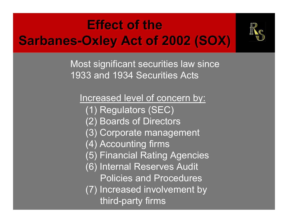# **Effect of the Sarbanes-Oxley Act of 2002 (SOX) Sarbanes-Oxley Act of 2002 (SOX)**



Most significant securities law since 1933 and 1934 Securities Acts

Increased level of concern by: (1) Regulators (SEC) (2) Boards of Directors (3) Corporate management (4) Accounting firms (5) Financial Rating Agencies (6) Internal Reserves Audit Policies and Procedures (7) Increased involvement by third-party firms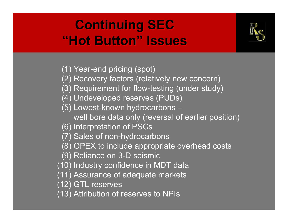### **Continuing SEC Continuing SEC "Hot Button" Issues"Hot Button" Issues**



- (1) Year-end pricing (spot)
- (2) Recovery factors (relatively new concern)
- (3) Requirement for flow-testing (under study)
- (4) Undeveloped reserves (PUDs)
- (5) Lowest-known hydrocarbons
	- well bore data only (reversal of earlier position)
- (6) Interpretation of PSCs
- (7) Sales of non-hydrocarbons
- (8) OPEX to include appropriate overhead costs
- (9) Reliance on 3-D seismic
- (10) Industry confidence in MDT data
- (11) Assurance of adequate markets
- (12) GTL reserves
- (13) Attribution of reserves to NPIs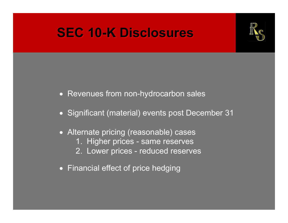#### **SEC 10-K Disclosures SEC 10-K Disclosures**



- Revenues from non-hydrocarbon sales
- Significant (material) events post December 31
- Alternate pricing (reasonable) cases
	- 1. Higher prices same reserves
	- 2. Lower prices reduced reserves
- Financial effect of price hedging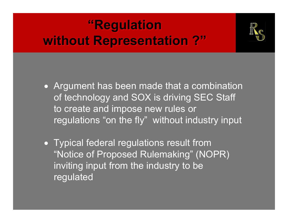# **"Regulation "Regulation without Representation ?" without Representation ?"**



- Argument has been made that a combination of technology and SOX is driving SEC Staff to create and impose new rules or regulations "on the fly" without industry input
- Typical federal regulations result from "Notice of Proposed Rulemaking" (NOPR) inviting input from the industry to be regulated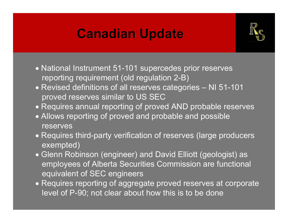#### **Canadian Update Canadian Update**



- National Instrument 51-101 supercedes prior reserves reporting requirement (old regulation 2-B)
- Revised definitions of all reserves categories NI 51-101 proved reserves similar to US SEC
- Requires annual reporting of proved AND probable reserves
- Allows reporting of proved and probable and possible reserves
- Requires third-party verification of reserves (large producers exempted)
- Glenn Robinson (engineer) and David Elliott (geologist) as employees of Alberta Securities Commission are functional equivalent of SEC engineers
- Requires reporting of aggregate proved reserves at corporate level of P-90; not clear about how this is to be done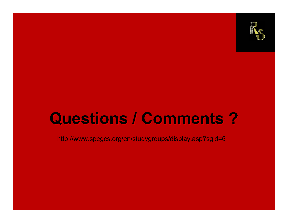

# **Questions / Comments ? Questions / Comments ?**

http://www.spegcs.org/en/studygroups/display.asp?sgid=6